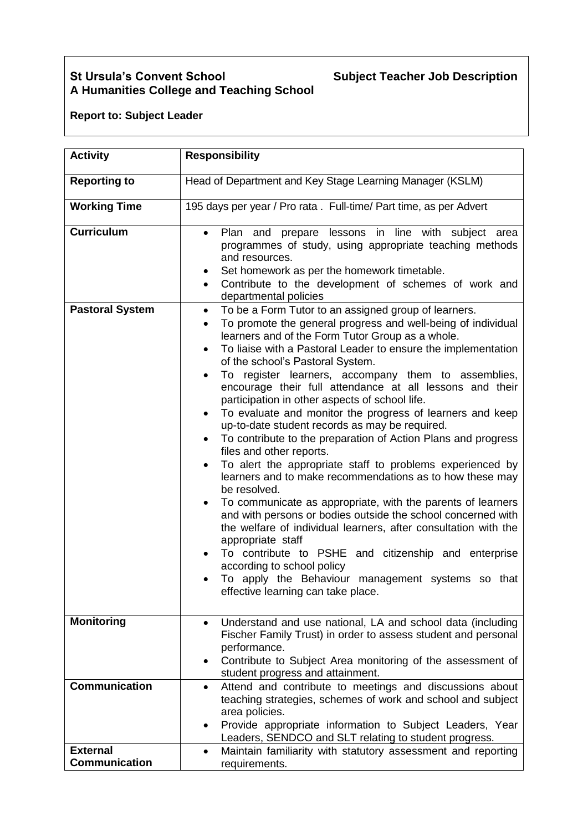## **St Ursula's Convent School Subject Teacher Job Description A Humanities College and Teaching School**

## **Report to: Subject Leader**

| <b>Activity</b>                             | <b>Responsibility</b>                                                                                                                                                                                                                                                                                                                                                                                                                                                                                                                                                                                                                                                                                                                                                                                                                                                                                                                                                                                                                                                                                                                                                                                                                                                                                                                                                                                                                                                                                                                                             |  |
|---------------------------------------------|-------------------------------------------------------------------------------------------------------------------------------------------------------------------------------------------------------------------------------------------------------------------------------------------------------------------------------------------------------------------------------------------------------------------------------------------------------------------------------------------------------------------------------------------------------------------------------------------------------------------------------------------------------------------------------------------------------------------------------------------------------------------------------------------------------------------------------------------------------------------------------------------------------------------------------------------------------------------------------------------------------------------------------------------------------------------------------------------------------------------------------------------------------------------------------------------------------------------------------------------------------------------------------------------------------------------------------------------------------------------------------------------------------------------------------------------------------------------------------------------------------------------------------------------------------------------|--|
| <b>Reporting to</b>                         | Head of Department and Key Stage Learning Manager (KSLM)                                                                                                                                                                                                                                                                                                                                                                                                                                                                                                                                                                                                                                                                                                                                                                                                                                                                                                                                                                                                                                                                                                                                                                                                                                                                                                                                                                                                                                                                                                          |  |
| <b>Working Time</b>                         | 195 days per year / Pro rata. Full-time/ Part time, as per Advert                                                                                                                                                                                                                                                                                                                                                                                                                                                                                                                                                                                                                                                                                                                                                                                                                                                                                                                                                                                                                                                                                                                                                                                                                                                                                                                                                                                                                                                                                                 |  |
| <b>Curriculum</b><br><b>Pastoral System</b> | Plan and prepare lessons in line with subject area<br>$\bullet$<br>programmes of study, using appropriate teaching methods<br>and resources.<br>Set homework as per the homework timetable.<br>Contribute to the development of schemes of work and<br>$\bullet$<br>departmental policies<br>To be a Form Tutor to an assigned group of learners.<br>$\bullet$<br>To promote the general progress and well-being of individual<br>$\bullet$<br>learners and of the Form Tutor Group as a whole.<br>To liaise with a Pastoral Leader to ensure the implementation<br>$\bullet$<br>of the school's Pastoral System.<br>To register learners, accompany them to assemblies,<br>$\bullet$<br>encourage their full attendance at all lessons and their<br>participation in other aspects of school life.<br>To evaluate and monitor the progress of learners and keep<br>up-to-date student records as may be required.<br>To contribute to the preparation of Action Plans and progress<br>$\bullet$<br>files and other reports.<br>To alert the appropriate staff to problems experienced by<br>$\bullet$<br>learners and to make recommendations as to how these may<br>be resolved.<br>To communicate as appropriate, with the parents of learners<br>$\bullet$<br>and with persons or bodies outside the school concerned with<br>the welfare of individual learners, after consultation with the<br>appropriate staff<br>To contribute to PSHE and citizenship and enterprise<br>according to school policy<br>To apply the Behaviour management systems so that |  |
|                                             | effective learning can take place.                                                                                                                                                                                                                                                                                                                                                                                                                                                                                                                                                                                                                                                                                                                                                                                                                                                                                                                                                                                                                                                                                                                                                                                                                                                                                                                                                                                                                                                                                                                                |  |
| <b>Monitoring</b>                           | Understand and use national, LA and school data (including<br>$\bullet$<br>Fischer Family Trust) in order to assess student and personal<br>performance.<br>Contribute to Subject Area monitoring of the assessment of<br>student progress and attainment.                                                                                                                                                                                                                                                                                                                                                                                                                                                                                                                                                                                                                                                                                                                                                                                                                                                                                                                                                                                                                                                                                                                                                                                                                                                                                                        |  |
| <b>Communication</b>                        | Attend and contribute to meetings and discussions about<br>$\bullet$<br>teaching strategies, schemes of work and school and subject<br>area policies.<br>Provide appropriate information to Subject Leaders, Year<br>$\bullet$<br>Leaders, SENDCO and SLT relating to student progress.                                                                                                                                                                                                                                                                                                                                                                                                                                                                                                                                                                                                                                                                                                                                                                                                                                                                                                                                                                                                                                                                                                                                                                                                                                                                           |  |
| <b>External</b><br><b>Communication</b>     | Maintain familiarity with statutory assessment and reporting<br>$\bullet$<br>requirements.                                                                                                                                                                                                                                                                                                                                                                                                                                                                                                                                                                                                                                                                                                                                                                                                                                                                                                                                                                                                                                                                                                                                                                                                                                                                                                                                                                                                                                                                        |  |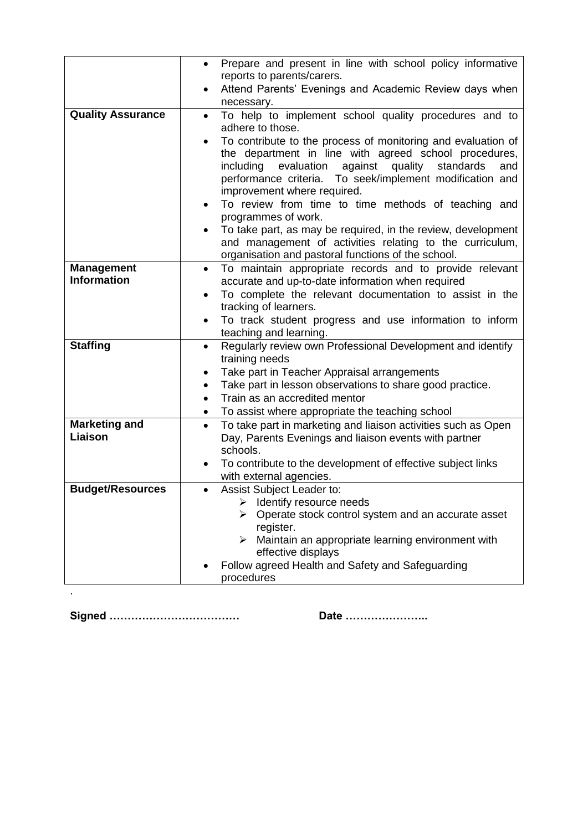|                          | Prepare and present in line with school policy informative<br>reports to parents/carers.                                           |
|--------------------------|------------------------------------------------------------------------------------------------------------------------------------|
|                          | Attend Parents' Evenings and Academic Review days when<br>$\bullet$                                                                |
|                          | necessary.                                                                                                                         |
| <b>Quality Assurance</b> | To help to implement school quality procedures and to<br>$\bullet$                                                                 |
|                          | adhere to those.                                                                                                                   |
|                          | To contribute to the process of monitoring and evaluation of<br>$\bullet$<br>the department in line with agreed school procedures, |
|                          | including evaluation against quality standards<br>and                                                                              |
|                          | performance criteria. To seek/implement modification and                                                                           |
|                          | improvement where required.                                                                                                        |
|                          | To review from time to time methods of teaching and                                                                                |
|                          | programmes of work.<br>To take part, as may be required, in the review, development                                                |
|                          | and management of activities relating to the curriculum,                                                                           |
|                          | organisation and pastoral functions of the school.                                                                                 |
| <b>Management</b>        | To maintain appropriate records and to provide relevant<br>$\bullet$                                                               |
| <b>Information</b>       | accurate and up-to-date information when required                                                                                  |
|                          | To complete the relevant documentation to assist in the<br>$\bullet$<br>tracking of learners.                                      |
|                          | To track student progress and use information to inform<br>$\bullet$                                                               |
|                          | teaching and learning.                                                                                                             |
| <b>Staffing</b>          | Regularly review own Professional Development and identify<br>$\bullet$                                                            |
|                          | training needs                                                                                                                     |
|                          | Take part in Teacher Appraisal arrangements<br>٠<br>Take part in lesson observations to share good practice.<br>$\bullet$          |
|                          | Train as an accredited mentor<br>$\bullet$                                                                                         |
|                          | To assist where appropriate the teaching school<br>$\bullet$                                                                       |
| <b>Marketing and</b>     | To take part in marketing and liaison activities such as Open<br>$\bullet$                                                         |
| Liaison                  | Day, Parents Evenings and liaison events with partner                                                                              |
|                          | schools.                                                                                                                           |
|                          | To contribute to the development of effective subject links<br>with external agencies.                                             |
| <b>Budget/Resources</b>  | Assist Subject Leader to:<br>$\bullet$                                                                                             |
|                          | Identify resource needs                                                                                                            |
|                          | Operate stock control system and an accurate asset                                                                                 |
|                          | register.<br>Maintain an appropriate learning environment with                                                                     |
|                          | effective displays                                                                                                                 |
|                          | Follow agreed Health and Safety and Safeguarding                                                                                   |
|                          | procedures                                                                                                                         |
|                          |                                                                                                                                    |

**Signed ……………………………… Date …………………..**